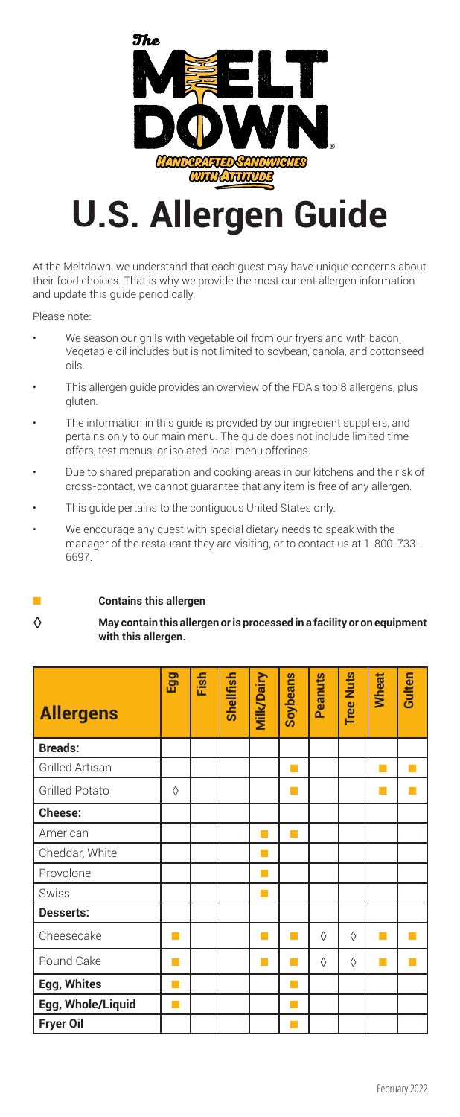

## **U.S. Allergen Guide**

At the Meltdown, we understand that each guest may have unique concerns about their food choices. That is why we provide the most current allergen information and update this guide periodically.

Please note:

- We season our grills with vegetable oil from our fryers and with bacon. Vegetable oil includes but is not limited to soybean, canola, and cottonseed oils.
- This allergen guide provides an overview of the FDA's top 8 allergens, plus gluten.
- The information in this guide is provided by our ingredient suppliers, and pertains only to our main menu. The guide does not include limited time offers, test menus, or isolated local menu offerings.
- Due to shared preparation and cooking areas in our kitchens and the risk of cross-contact, we cannot guarantee that any item is free of any allergen.
- This guide pertains to the contiguous United States only.
- manager of the restaurant they are visiting, or to contact us at 1-800-733 We encourage any guest with special dietary needs to speak with the 6697.
- 

## ■ **Contains this allergen**

◊ **May contain this allergen oris processed in <sup>a</sup> facility or on equipment with this allergen.**

| <b>Allergens</b>      | Egg | Fish | <b>Shellfish</b> | <b>Mik/Dairy</b> | Soybeans | Peanuts    | <b>Tree Nuts</b> | Wheat | Gulten |
|-----------------------|-----|------|------------------|------------------|----------|------------|------------------|-------|--------|
| <b>Breads:</b>        |     |      |                  |                  |          |            |                  |       |        |
| Grilled Artisan       |     |      |                  |                  | П        |            |                  | ш     |        |
| <b>Grilled Potato</b> | ♦   |      |                  |                  | ×        |            |                  | ш     |        |
| Cheese:               |     |      |                  |                  |          |            |                  |       |        |
| American              |     |      |                  | ш                | П        |            |                  |       |        |
| Cheddar, White        |     |      |                  | П                |          |            |                  |       |        |
| Provolone             |     |      |                  | ш                |          |            |                  |       |        |
| <b>Swiss</b>          |     |      |                  | M                |          |            |                  |       |        |
| Desserts:             |     |      |                  |                  |          |            |                  |       |        |
| Cheesecake            |     |      |                  | a l              | ×        | ♦          | ♦                | ш     |        |
| Pound Cake            |     |      |                  |                  | ×        | $\Diamond$ | ♦                |       |        |
| Egg, Whites           |     |      |                  |                  | u        |            |                  |       |        |
| Egg, Whole/Liquid     |     |      |                  |                  | u        |            |                  |       |        |
| Fryer Oil             |     |      |                  |                  |          |            |                  |       |        |